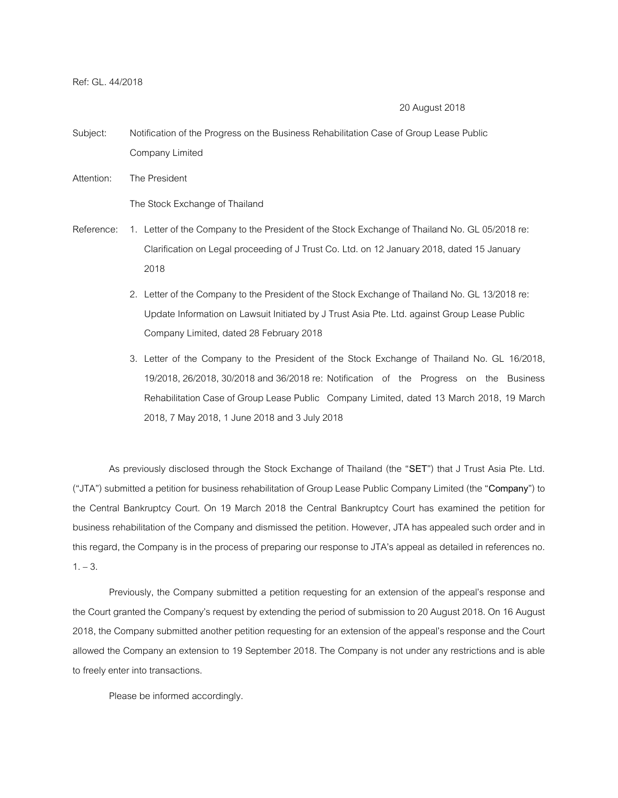Ref: GL. 44/2018

## 20 August 2018

- Subject: Notification of the Progress on the Business Rehabilitation Case of Group Lease Public Company Limited
- Attention: The President

The Stock Exchange of Thailand

- Reference: 1. Letter of the Company to the President of the Stock Exchange of Thailand No. GL 05/2018 re: Clarification on Legal proceeding of J Trust Co. Ltd. on 12 January 2018, dated 15 January 2018
	- 2. Letter of the Company to the President of the Stock Exchange of Thailand No. GL 13/2018 re: Update Information on Lawsuit Initiated by J Trust Asia Pte. Ltd. against Group Lease Public Company Limited, dated 28 February 2018
	- 3. Letter of the Company to the President of the Stock Exchange of Thailand No. GL 16/2018, 19/2018, 26/2018, 30/2018 and 36/2018 re: Notification of the Progress on the Business Rehabilitation Case of Group Lease Public Company Limited, dated 13 March 2018, 19 March 2018, 7 May 2018, 1 June 2018 and 3 July 2018

As previously disclosed through the Stock Exchange of Thailand (the "**SET**") that J Trust Asia Pte. Ltd. ("JTA") submitted a petition for business rehabilitation of Group Lease Public Company Limited (the "**Company**") to the Central Bankruptcy Court. On 19 March 2018 the Central Bankruptcy Court has examined the petition for business rehabilitation of the Company and dismissed the petition. However, JTA has appealed such order and in this regard, the Company is in the process of preparing our response to JTA's appeal as detailed in references no.  $1. - 3.$ 

Previously, the Company submitted a petition requesting for an extension of the appeal's response and the Court granted the Company's request by extending the period of submission to 20 August 2018. On 16 August 2018, the Company submitted another petition requesting for anextension of the appeal's response and the Court allowed the Company an extension to 19 September 2018. The Company is not under any restrictions and is able to freely enter into transactions.

Please be informed accordingly.